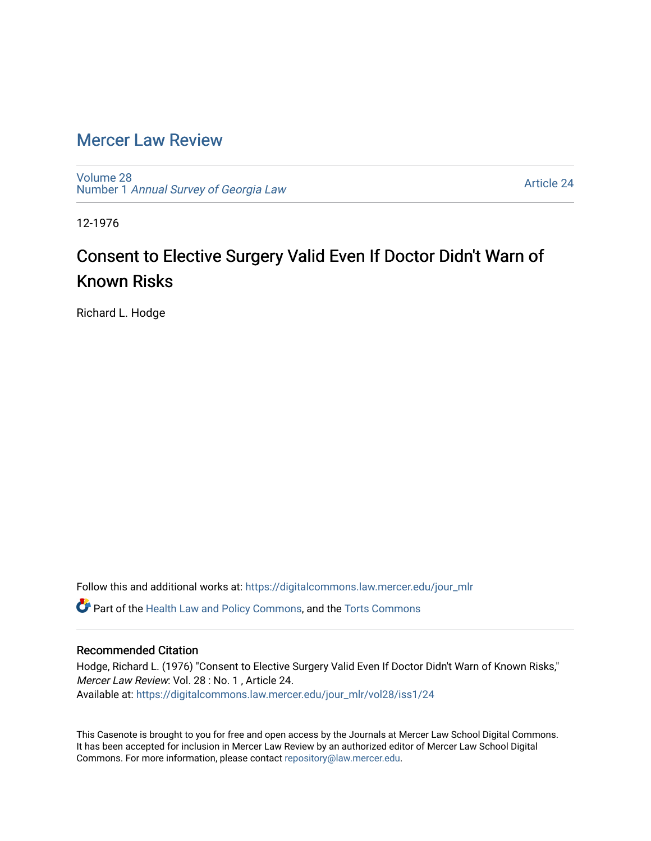## [Mercer Law Review](https://digitalcommons.law.mercer.edu/jour_mlr)

[Volume 28](https://digitalcommons.law.mercer.edu/jour_mlr/vol28) Number 1 [Annual Survey of Georgia Law](https://digitalcommons.law.mercer.edu/jour_mlr/vol28/iss1) 

[Article 24](https://digitalcommons.law.mercer.edu/jour_mlr/vol28/iss1/24) 

12-1976

## Consent to Elective Surgery Valid Even If Doctor Didn't Warn of Known Risks

Richard L. Hodge

Follow this and additional works at: [https://digitalcommons.law.mercer.edu/jour\\_mlr](https://digitalcommons.law.mercer.edu/jour_mlr?utm_source=digitalcommons.law.mercer.edu%2Fjour_mlr%2Fvol28%2Fiss1%2F24&utm_medium=PDF&utm_campaign=PDFCoverPages)

**C** Part of the [Health Law and Policy Commons](http://network.bepress.com/hgg/discipline/901?utm_source=digitalcommons.law.mercer.edu%2Fjour_mlr%2Fvol28%2Fiss1%2F24&utm_medium=PDF&utm_campaign=PDFCoverPages), and the Torts Commons

## Recommended Citation

Hodge, Richard L. (1976) "Consent to Elective Surgery Valid Even If Doctor Didn't Warn of Known Risks," Mercer Law Review: Vol. 28 : No. 1 , Article 24. Available at: [https://digitalcommons.law.mercer.edu/jour\\_mlr/vol28/iss1/24](https://digitalcommons.law.mercer.edu/jour_mlr/vol28/iss1/24?utm_source=digitalcommons.law.mercer.edu%2Fjour_mlr%2Fvol28%2Fiss1%2F24&utm_medium=PDF&utm_campaign=PDFCoverPages) 

This Casenote is brought to you for free and open access by the Journals at Mercer Law School Digital Commons. It has been accepted for inclusion in Mercer Law Review by an authorized editor of Mercer Law School Digital Commons. For more information, please contact [repository@law.mercer.edu.](mailto:repository@law.mercer.edu)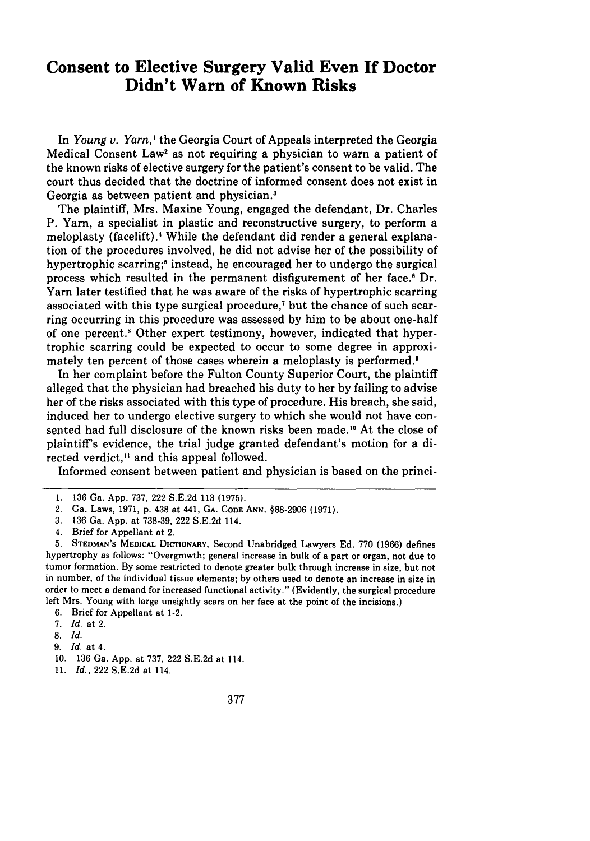## **Consent to Elective Surgery Valid Even If Doctor Didn't Warn of Known Risks**

In *Young v. Yarn,'* the Georgia Court of Appeals interpreted the Georgia Medical Consent Law' as not requiring a physician to warn a patient of the known risks of elective surgery for the patient's consent to be valid. The court thus decided that the doctrine of informed consent does not exist in Georgia as between patient and physician.3

The plaintiff, Mrs. Maxine Young, engaged the defendant, Dr. Charles P. Yarn, a specialist in plastic and reconstructive surgery, to perform a meloplasty (facelift).4 While the defendant did render a general explanation of the procedures involved, he did not advise her of the possibility of hypertrophic scarring;<sup>5</sup> instead, he encouraged her to undergo the surgical process which resulted in the permanent disfigurement of her face. $\mathfrak{g}$  Dr. Yarn later testified that he was aware of the risks of hypertrophic scarring associated with this type surgical procedure,7 but the chance of such scarring occurring in this procedure was assessed by him to be about one-half of one percent.<sup>8</sup> Other expert testimony, however, indicated that hypertrophic scarring could be expected to occur to some degree in approximately ten percent of those cases wherein a meloplasty is performed.<sup>9</sup>

In her complaint before the Fulton County Superior Court, the plaintiff alleged that the physician had breached his duty to her by failing to advise her of the risks associated with this type of procedure. His breach, she said, induced her to undergo elective surgery to which she would not have consented had full disclosure of the known risks been made." At the close of plaintiff's evidence, the trial judge granted defendant's motion for a directed verdict," and this appeal followed.

Informed consent between patient and physician is based on the princi-

<sup>1. 136</sup> Ga. App. 737, 222 S.E.2d 113 (1975).

<sup>2.</sup> Ga. Laws, 1971, p. 438 at 441, **GA. CODE ANN.** §88-2906 **(1971).**

<sup>3. 136</sup> Ga. App. at 738-39, 222 S.E.2d 114.

<sup>4.</sup> Brief for Appellant at 2.

**<sup>5.</sup> STEDMAN'S MEDICAL DICTIONARY,** Second Unabridged Lawyers **Ed.** 770 (1966) defines hypertrophy as follows: "Overgrowth; general increase in bulk of a part **or** organ, not **due to** tumor formation. **By** some restricted to denote greater bulk through increase in size, but not **in** number, of the individual tissue elements; **by** others used to denote an increase in size in order to meet a demand for increased functional activity." (Evidently, the surgical procedure left Mrs. Young with large unsightly scars on her face at the point of the incisions.)

**<sup>6.</sup>** Brief for Appellant at 1-2.

**<sup>7.</sup>** *Id.* at 2.

*<sup>8.</sup> Id.*

<sup>9.</sup> *Id.* at 4.

**<sup>10.</sup>** 136 Ga. App. at 737, 222 S.E.2d at 114.

<sup>11.</sup> *Id.,* 222 S.E.2d at 114.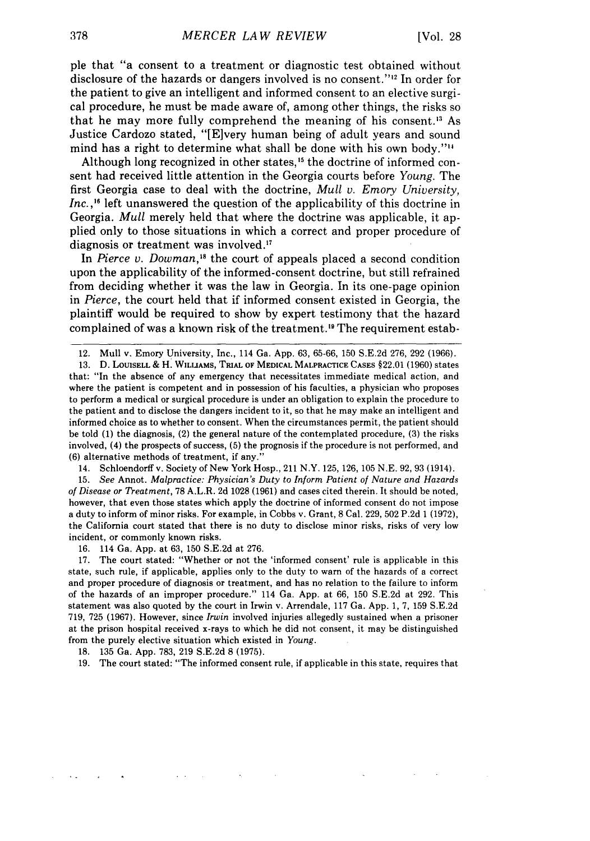pie that "a consent to a treatment or diagnostic test obtained without disclosure of the hazards or dangers involved is no consent.' ' 12 In order for the patient to give an intelligent and informed consent to an elective surgical procedure, he must be made aware of, among other things, the risks so that he may more fully comprehend the meaning of his consent." As Justice Cardozo stated, "[E]very human being of adult years and sound mind has a right to determine what shall be done with his own body."'"

Although long recognized in other states,<sup>15</sup> the doctrine of informed consent had received little attention in the Georgia courts before *Young.* The first Georgia case to deal with the doctrine, *Mull v. Emory University, Inc.*,<sup>16</sup> left unanswered the question of the applicability of this doctrine in Georgia. *Mull* merely held that where the doctrine was applicable, it applied only to those situations in which a correct and proper procedure of diagnosis or treatment was involved.<sup>17</sup>

In *Pierce v. Dowman*,<sup>18</sup> the court of appeals placed a second condition upon the applicability of the informed-consent doctrine, but still refrained from deciding whether it was the law in Georgia. In its one-page opinion in *Pierce,* the court held that if informed consent existed in Georgia, the plaintiff would be required to show by expert testimony that the hazard complained of was a known risk of the treatment.'9 The requirement estab-

**13. D. LOUiSELL** & H. **WILLIAMS, TRIAL OF MEDICAL MALPRACTICE CASES** §22.01 (1960) states that: "In the absence of any emergency that necessitates immediate medical action, and where the patient is competent and in possession of his faculties, a physician who proposes to perform a medical or surgical procedure is under an obligation to explain the procedure to the patient and to disclose the dangers incident to it, so that he may make an intelligent and informed choice as to whether to consent. When the circumstances permit, the patient should be told **(1)** the diagnosis, (2) the general nature of the contemplated procedure, **(3)** the risks involved, (4) the prospects of success, **(5)** the prognosis if the procedure is not performed, and **(6)** alternative methods of treatment, if any."

14. Schloendorff v. Society of New York Hosp., 211 N.Y. **125, 126, 105 N.E. 92, 93** (1914).

**15.** *See* **Annot.** *Malpractice: Physician's Duty* to *Inform Patient of Nature and Hazards of Disease or Treatment,* **78** A.L.R. **2d 1028 (1961)** and cases cited therein. It should be noted, however, that even those states which apply the doctrine of informed consent do not impose a duty to inform of minor risks. For example, in Cobbs v. Grant, **8** Cal. **229, 502 P.2d 1 (1972),** the California court stated that there is no duty to disclose minor risks, risks of very low incident, or commonly known risks.

**16.** 114 Ga. **App.** at **63, 150 S.E.2d** at **276.**

**17.** The court stated: "Whether or not the 'informed consent' rule is applicable in this state, such rule, if applicable, applies only to the duty to warn of the hazards of a correct and proper procedure of diagnosis or treatment, and has no relation to the failure to inform of the hazards of an improper procedure." 114 Ga. **App.** at **66, 150 S.E.2d** at **292.** This statement was also quoted **by** the court in Irwin v. Arrendale, **117** Ga. **App. 1, 7, 159 S.E.2d 719, 725 (1967).** However, since *Irwin* involved injuries allegedly sustained when a prisoner at the prison hospital received x-rays to which he did not consent, it may be distinguished from the purely elective situation which existed in *Young.*

**18. 135** Ga. **App. 783, 219 S.E.2d 8 (1975).**

**19.** The court stated: "The informed consent rule, if applicable in this state, requires that

<sup>12.</sup> Mull v. Emory University, Inc., 114 Ga. App. 63, 65-66, 150 S.E.2d 276, 292 (1966).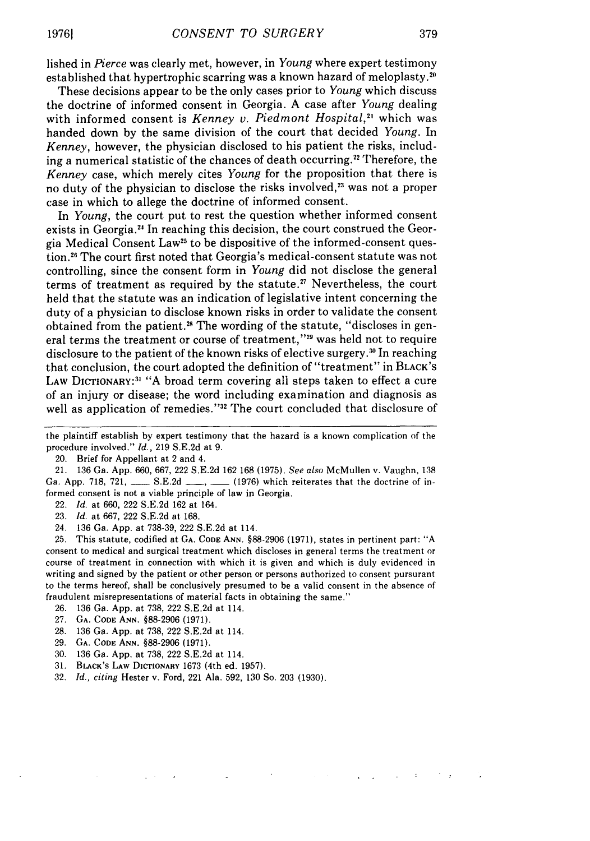lished in Pierce was clearly met, however, in *Young* where expert testimony established that hypertrophic scarring was a known hazard of meloplasty.<sup>20</sup>

These decisions appear to be the only cases prior to *Young* which discuss the doctrine of informed consent in Georgia. A case after *Young* dealing with informed consent is *Kenney v. Piedmont Hospital*,<sup>21</sup> which was handed down by the same division of the court that decided *Young.* In *Kenney,* however, the physician disclosed to his patient the risks, including a numerical statistic of the chances of death occurring.<sup>22</sup> Therefore, the *Kenney* case, which merely cites *Young* for the proposition that there is no duty of the physician to disclose the risks involved,<sup>23</sup> was not a proper case in which to allege the doctrine of informed consent.

In *Young,* the court put to rest the question whether informed consent exists in Georgia. <sup>2</sup> 1 In reaching this decision, the court construed the Georgia Medical Consent Law25 to be dispositive of the informed-consent question.26 The court first noted that Georgia's medical-consent statute was not controlling, since the consent form in *Young* did not disclose the general terms of treatment as required by the statute.<sup>27</sup> Nevertheless, the court held that the statute was an indication of legislative intent concerning the duty of a physician to disclose known risks in order to validate the consent obtained from the patient.<sup>28</sup> The wording of the statute, "discloses in general terms the treatment or course of treatment,"<sup>29</sup> was held not to require disclosure to the patient of the known risks of elective surgery.<sup>30</sup> In reaching that conclusion, the court adopted the definition of "treatment" in BLACK'S LAW DICTIONARY:<sup>31</sup> "A broad term covering all steps taken to effect a cure of an injury or disease; the word including examination and diagnosis as well as application of remedies."32 The court concluded that disclosure of

- 22. *Id.* at 660, 222 S.E.2d 162 at 164.
- 23. *Id.* at 667, 222 S.E.2d at 168.
- 24. 136 Ga. App. at 738-39, 222 S.E.2d at 114.

25. This statute, codified at **GA. CODE ANN.** §88-2906 (1971), states in pertinent part: "A consent to medical and surgical treatment which discloses in general terms the treatment or course of treatment in connection with which it is given and which is duly evidenced in writing and signed by the patient or other person or persons authorized to consent pursurant to the terms hereof, shall be conclusively presumed to be a valid consent in the absence of fraudulent misrepresentations of material facts in obtaining the same."

- 26. 136 Ga. App. at 738, 222 S.E.2d at 114.
- 27. **GA. CODE** ANN. §88-2906 (1971).
- 28. 136 Ga. App. at 738, 222 S.E.2d at 114.
- 29. **GA. CODE** ANN. §88-2906 (1971).
- 30. 136 Ga. App. at 738, 222 S.E.2d at 114.
- 31. BLACK's LAW DICTIONARY 1673 (4th ed. 1957).
- 32. *Id., citing* Hester v. Ford, 221 Ala. 592, 130 So. 203 (1930).

the plaintiff establish by expert testimony that the hazard is a known complication of the procedure involved." *Id.,* 219 S.E.2d at 9.

<sup>20.</sup> Brief for Appellant at 2 and 4.

<sup>21. 136</sup> Ga. App. 660, 667, 222 S.E.2d 162 168 (1975). *See also* McMullen v. Vaughn, 138 Ga. App. 718, 721, S.E.2d **,** *S.E.2d* (1976) which reiterates that the doctrine of informed consent is not a viable principle of law in Georgia.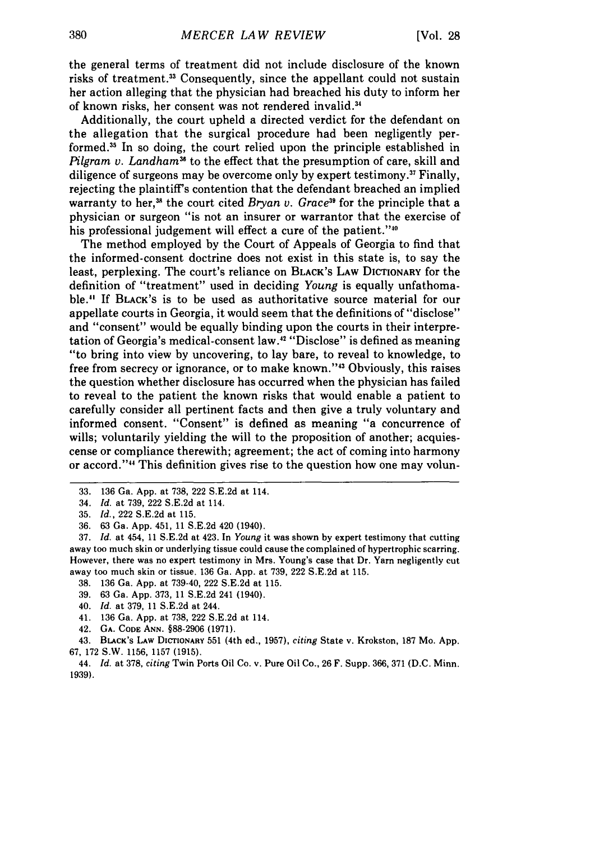the general terms of treatment did not include disclosure of the known risks of treatment."3 Consequently, since the appellant could not sustain her action alleging that the physician had breached his duty to inform her of known risks, her consent was not rendered invalid.<sup>34</sup>

Additionally, the court upheld a directed verdict for the defendant on the allegation that the surgical procedure had been negligently performed.<sup>35</sup> In so doing, the court relied upon the principle established in *Pilgram v. Landham*<sup>36</sup> to the effect that the presumption of care, skill and diligence of surgeons may be overcome only by expert testimony.<sup>37</sup> Finally, rejecting the plaintiff's contention that the defendant breached an implied warranty to her,<sup>38</sup> the court cited *Bryan v. Grace*<sup>39</sup> for the principle that a physician or surgeon "is not an insurer or warrantor that the exercise of his professional judgement will effect a cure of the patient."<sup>40</sup>

The method employed by the Court of Appeals of Georgia to find that the informed-consent doctrine does not exist in this state is, to say the least, perplexing. The court's reliance on BLACK'S LAW DICTIONARY for the definition of "treatment" used in deciding *Young* is equally unfathomable." If BLACK'S is to be used as authoritative source material for our appellate courts in Georgia, it would seem that the definitions of "disclose" and "consent" would be equally binding upon the courts in their interpretation of Georgia's medical-consent law.<sup>42</sup> "Disclose" is defined as meaning "to bring into view by uncovering, to lay bare, to reveal to knowledge, to free from secrecy or ignorance, or to make known."<sup>43</sup> Obviously, this raises the question whether disclosure has occurred when the physician has failed to reveal to the patient the known risks that would enable a patient to carefully consider all pertinent facts and then give a truly voluntary and informed consent. "Consent" is defined as meaning "a concurrence of wills; voluntarily yielding the will to the proposition of another; acquiescense or compliance therewith; agreement; the act of coming into harmony or accord."" This definition gives rise to the question how one may volun-

- 38. 136 Ga. App. at 739-40, 222 S.E.2d at 115.
- 39. 63 Ga. App. 373, 11 S.E.2d 241 (1940).
- 40. *Id.* at 379, 11 S.E.2d at 244.
- 41. 136 Ga. App. at 738, 222 S.E.2d at 114.
- 42. **GA. CODE ANN.** §88-2906 (1971).

43. BLACK's LAW DICTIONARY 551 (4th ed., 1957), *citing* State v. Krokston, 187 Mo. App. 67, 172 S.W. 1156, 1157 **(1915).**

44. *Id.* at 378, *citing* Twin Ports Oil Co. v. Pure Oil Co., 26 F. Supp. 366, 371 (D.C. Minn. 1939).

<sup>33. 136</sup> Ga. App. at 738, 222 S.E.2d at 114.

<sup>34.</sup> *Id.* at 739, 222 S.E.2d at 114.

<sup>35.</sup> *Id.,* 222 S.E.2d at 115.

<sup>36. 63</sup> Ga. App. 451, 11 S.E.2d 420 (1940).

<sup>37.</sup> *Id.* at 454, 11 S.E.2d at 423. In *Young* it was shown by expert testimony that cutting away too much skin or underlying tissue could cause the complained of hypertrophic scarring. However, there was no expert testimony in Mrs. Young's case that Dr. Yarn negligently cut away too much skin or tissue. 136 Ga. App. at 739, 222 S.E.2d at 115.